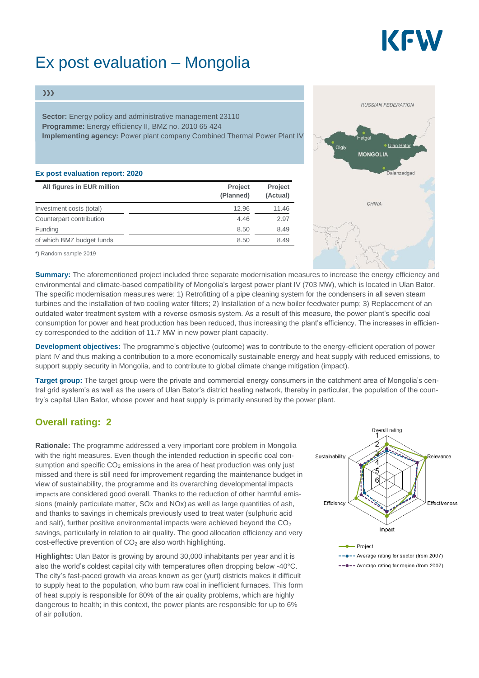

# Ex post evaluation – Mongolia

#### $\gg$

**Sector:** Energy policy and administrative management 23110 **Programme:** Energy efficiency II, BMZ no. 2010 65 424 **Implementing agency:** Power plant company Combined Thermal Power Plant IV

#### **Ex post evaluation report: 2020**

| All figures in EUR million | Project<br>(Planned) | Project<br>(Actual) |
|----------------------------|----------------------|---------------------|
| Investment costs (total)   | 12.96                | 11.46               |
| Counterpart contribution   | 4.46                 | 2.97                |
| Funding                    | 8.50                 | 8.49                |
| of which BMZ budget funds  | 8.50                 | 8.49                |

\*) Random sample 2019

**Summary:** The aforementioned project included three separate modernisation measures to increase the energy efficiency and environmental and climate-based compatibility of Mongolia's largest power plant IV (703 MW), which is located in Ulan Bator. The specific modernisation measures were: 1) Retrofitting of a pipe cleaning system for the condensers in all seven steam turbines and the installation of two cooling water filters; 2) Installation of a new boiler feedwater pump; 3) Replacement of an outdated water treatment system with a reverse osmosis system. As a result of this measure, the power plant's specific coal consumption for power and heat production has been reduced, thus increasing the plant's efficiency. The increases in efficiency corresponded to the addition of 11.7 MW in new power plant capacity.

**Development objectives:** The programme's objective (outcome) was to contribute to the energy-efficient operation of power plant IV and thus making a contribution to a more economically sustainable energy and heat supply with reduced emissions, to support supply security in Mongolia, and to contribute to global climate change mitigation (impact).

**Target group:** The target group were the private and commercial energy consumers in the catchment area of Mongolia's central grid system's as well as the users of Ulan Bator's district heating network, thereby in particular, the population of the country's capital Ulan Bator, whose power and heat supply is primarily ensured by the power plant.

### **Overall rating: 2**

**Rationale:** The programme addressed a very important core problem in Mongolia with the right measures. Even though the intended reduction in specific coal consumption and specific  $CO<sub>2</sub>$  emissions in the area of heat production was only just missed and there is still need for improvement regarding the maintenance budget in view of sustainability, the programme and its overarching developmental impacts impacts are considered good overall. Thanks to the reduction of other harmful emissions (mainly particulate matter, SOx and NOx) as well as large quantities of ash, and thanks to savings in chemicals previously used to treat water (sulphuric acid and salt), further positive environmental impacts were achieved beyond the  $CO<sub>2</sub>$ savings, particularly in relation to air quality. The good allocation efficiency and very  $cost$ -effective prevention of  $CO<sub>2</sub>$  are also worth highlighting.

**Highlights:** Ulan Bator is growing by around 30,000 inhabitants per year and it is also the world's coldest capital city with temperatures often dropping below -40°C. The city's fast-paced growth via areas known as ger (yurt) districts makes it difficult to supply heat to the population, who burn raw coal in inefficient furnaces. This form of heat supply is responsible for 80% of the air quality problems, which are highly dangerous to health; in this context, the power plants are responsible for up to 6% of air pollution.





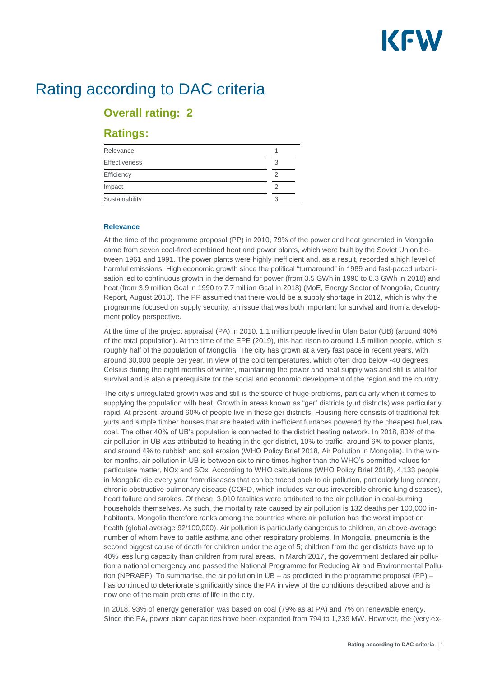

# Rating according to DAC criteria

## **Overall rating: 2**

### **Ratings:**

| Relevance            |   |
|----------------------|---|
| <b>Effectiveness</b> | 3 |
| Efficiency           |   |
| Impact               |   |
| Sustainability       |   |

#### **Relevance**

At the time of the programme proposal (PP) in 2010, 79% of the power and heat generated in Mongolia came from seven coal-fired combined heat and power plants, which were built by the Soviet Union between 1961 and 1991. The power plants were highly inefficient and, as a result, recorded a high level of harmful emissions. High economic growth since the political "turnaround" in 1989 and fast-paced urbanisation led to continuous growth in the demand for power (from 3.5 GWh in 1990 to 8.3 GWh in 2018) and heat (from 3.9 million Gcal in 1990 to 7.7 million Gcal in 2018) (MoE, Energy Sector of Mongolia, Country Report, August 2018). The PP assumed that there would be a supply shortage in 2012, which is why the programme focused on supply security, an issue that was both important for survival and from a development policy perspective.

At the time of the project appraisal (PA) in 2010, 1.1 million people lived in Ulan Bator (UB) (around 40% of the total population). At the time of the EPE (2019), this had risen to around 1.5 million people, which is roughly half of the population of Mongolia. The city has grown at a very fast pace in recent years, with around 30,000 people per year. In view of the cold temperatures, which often drop below -40 degrees Celsius during the eight months of winter, maintaining the power and heat supply was and still is vital for survival and is also a prerequisite for the social and economic development of the region and the country.

The city's unregulated growth was and still is the source of huge problems, particularly when it comes to supplying the population with heat. Growth in areas known as "ger" districts (yurt districts) was particularly rapid. At present, around 60% of people live in these ger districts. Housing here consists of traditional felt yurts and simple timber houses that are heated with inefficient furnaces powered by the cheapest fuel,raw coal. The other 40% of UB's population is connected to the district heating network. In 2018, 80% of the air pollution in UB was attributed to heating in the ger district, 10% to traffic, around 6% to power plants, and around 4% to rubbish and soil erosion (WHO Policy Brief 2018, Air Pollution in Mongolia). In the winter months, air pollution in UB is between six to nine times higher than the WHO's permitted values for particulate matter, NOx and SOx. According to WHO calculations (WHO Policy Brief 2018), 4,133 people in Mongolia die every year from diseases that can be traced back to air pollution, particularly lung cancer, chronic obstructive pulmonary disease (COPD, which includes various irreversible chronic lung diseases), heart failure and strokes. Of these, 3,010 fatalities were attributed to the air pollution in coal-burning households themselves. As such, the mortality rate caused by air pollution is 132 deaths per 100,000 inhabitants. Mongolia therefore ranks among the countries where air pollution has the worst impact on health (global average 92/100,000). Air pollution is particularly dangerous to children, an above-average number of whom have to battle asthma and other respiratory problems. In Mongolia, pneumonia is the second biggest cause of death for children under the age of 5; children from the ger districts have up to 40% less lung capacity than children from rural areas. In March 2017, the government declared air pollution a national emergency and passed the National Programme for Reducing Air and Environmental Pollution (NPRAEP). To summarise, the air pollution in UB – as predicted in the programme proposal (PP) – has continued to deteriorate significantly since the PA in view of the conditions described above and is now one of the main problems of life in the city.

In 2018, 93% of energy generation was based on coal (79% as at PA) and 7% on renewable energy. Since the PA, power plant capacities have been expanded from 794 to 1,239 MW. However, the (very ex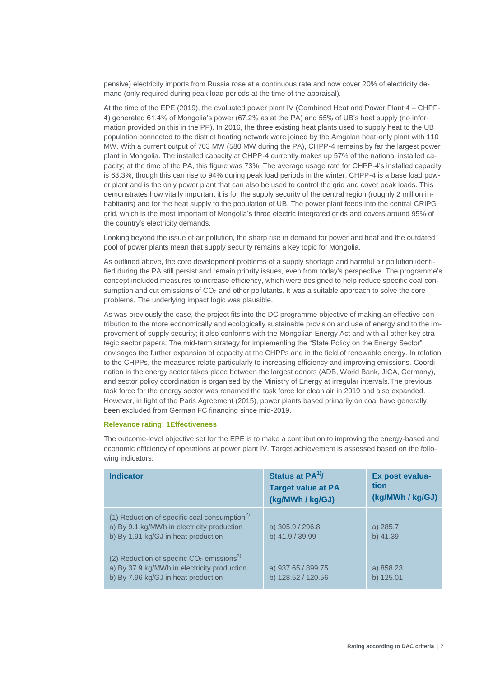pensive) electricity imports from Russia rose at a continuous rate and now cover 20% of electricity demand (only required during peak load periods at the time of the appraisal).

At the time of the EPE (2019), the evaluated power plant IV (Combined Heat and Power Plant 4 – CHPP-4) generated 61.4% of Mongolia's power (67.2% as at the PA) and 55% of UB's heat supply (no information provided on this in the PP). In 2016, the three existing heat plants used to supply heat to the UB population connected to the district heating network were joined by the Amgalan heat-only plant with 110 MW. With a current output of 703 MW (580 MW during the PA), CHPP-4 remains by far the largest power plant in Mongolia. The installed capacity at CHPP-4 currently makes up 57% of the national installed capacity; at the time of the PA, this figure was 73%. The average usage rate for CHPP-4's installed capacity is 63.3%, though this can rise to 94% during peak load periods in the winter. CHPP-4 is a base load power plant and is the only power plant that can also be used to control the grid and cover peak loads. This demonstrates how vitally important it is for the supply security of the central region (roughly 2 million inhabitants) and for the heat supply to the population of UB. The power plant feeds into the central CRIPG grid, which is the most important of Mongolia's three electric integrated grids and covers around 95% of the country's electricity demands.

Looking beyond the issue of air pollution, the sharp rise in demand for power and heat and the outdated pool of power plants mean that supply security remains a key topic for Mongolia.

As outlined above, the core development problems of a supply shortage and harmful air pollution identified during the PA still persist and remain priority issues, even from today's perspective. The programme's concept included measures to increase efficiency, which were designed to help reduce specific coal consumption and cut emissions of  $CO<sub>2</sub>$  and other pollutants. It was a suitable approach to solve the core problems. The underlying impact logic was plausible.

As was previously the case, the project fits into the DC programme objective of making an effective contribution to the more economically and ecologically sustainable provision and use of energy and to the improvement of supply security; it also conforms with the Mongolian Energy Act and with all other key strategic sector papers. The mid-term strategy for implementing the "State Policy on the Energy Sector" envisages the further expansion of capacity at the CHPPs and in the field of renewable energy. In relation to the CHPPs, the measures relate particularly to increasing efficiency and improving emissions. Coordination in the energy sector takes place between the largest donors (ADB, World Bank, JICA, Germany), and sector policy coordination is organised by the Ministry of Energy at irregular intervals.The previous task force for the energy sector was renamed the task force for clean air in 2019 and also expanded. However, in light of the Paris Agreement (2015), power plants based primarily on coal have generally been excluded from German FC financing since mid-2019.

#### **Relevance rating: 1Effectiveness**

The outcome-level objective set for the EPE is to make a contribution to improving the energy-based and economic efficiency of operations at power plant IV. Target achievement is assessed based on the following indicators:

| <b>Indicator</b>                                                                                                                              | Status at $PA^{1/7}$<br><b>Target value at PA</b><br>(kg/MWh / kg/GJ) | Ex post evalua-<br>tion<br>(kg/MWh / kg/GJ) |
|-----------------------------------------------------------------------------------------------------------------------------------------------|-----------------------------------------------------------------------|---------------------------------------------|
| (1) Reduction of specific coal consumption <sup>2)</sup><br>a) By 9.1 kg/MWh in electricity production<br>b) By 1.91 kg/GJ in heat production | a) 305.9 / 296.8<br>b) 41.9 / 39.99                                   | a) 285.7<br>b) 41.39                        |
| (2) Reduction of specific $CO2$ emissions <sup>3)</sup><br>a) By 37.9 kg/MWh in electricity production<br>b) By 7.96 kg/GJ in heat production | a) 937.65 / 899.75<br>b) 128.52 / 120.56                              | a) 858.23<br>b) 125.01                      |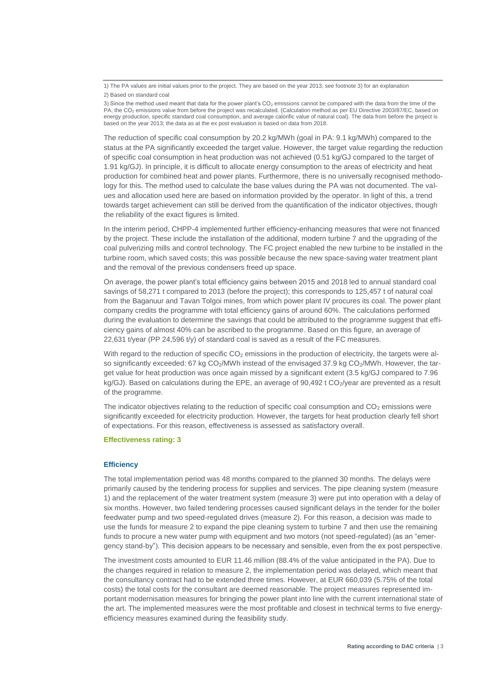The reduction of specific coal consumption by 20.2 kg/MWh (goal in PA: 9.1 kg/MWh) compared to the status at the PA significantly exceeded the target value. However, the target value regarding the reduction of specific coal consumption in heat production was not achieved (0.51 kg/GJ compared to the target of 1.91 kg/GJ). In principle, it is difficult to allocate energy consumption to the areas of electricity and heat production for combined heat and power plants. Furthermore, there is no universally recognised methodology for this. The method used to calculate the base values during the PA was not documented. The values and allocation used here are based on information provided by the operator. In light of this, a trend towards target achievement can still be derived from the quantification of the indicator objectives, though the reliability of the exact figures is limited.

In the interim period, CHPP-4 implemented further efficiency-enhancing measures that were not financed by the project. These include the installation of the additional, modern turbine 7 and the upgrading of the coal pulverizing mills and control technology. The FC project enabled the new turbine to be installed in the turbine room, which saved costs; this was possible because the new space-saving water treatment plant and the removal of the previous condensers freed up space.

On average, the power plant's total efficiency gains between 2015 and 2018 led to annual standard coal savings of 58,271 t compared to 2013 (before the project); this corresponds to 125,457 t of natural coal from the Baganuur and Tavan Tolgoi mines, from which power plant IV procures its coal. The power plant company credits the programme with total efficiency gains of around 60%. The calculations performed during the evaluation to determine the savings that could be attributed to the programme suggest that efficiency gains of almost 40% can be ascribed to the programme. Based on this figure, an average of 22,631 t/year (PP 24,596 t/y) of standard coal is saved as a result of the FC measures.

With regard to the reduction of specific  $CO<sub>2</sub>$  emissions in the production of electricity, the targets were also significantly exceeded: 67 kg  $CO<sub>2</sub>/MWh$  instead of the envisaged 37.9 kg  $CO<sub>2</sub>/MWh$ . However, the target value for heat production was once again missed by a significant extent (3.5 kg/GJ compared to 7.96 kg/GJ). Based on calculations during the EPE, an average of  $90,492$  t CO<sub>2</sub>/year are prevented as a result of the programme.

The indicator objectives relating to the reduction of specific coal consumption and  $CO<sub>2</sub>$  emissions were significantly exceeded for electricity production. However, the targets for heat production clearly fell short of expectations. For this reason, effectiveness is assessed as satisfactory overall.

#### **Effectiveness rating: 3**

#### **Efficiency**

The total implementation period was 48 months compared to the planned 30 months. The delays were primarily caused by the tendering process for supplies and services. The pipe cleaning system (measure 1) and the replacement of the water treatment system (measure 3) were put into operation with a delay of six months. However, two failed tendering processes caused significant delays in the tender for the boiler feedwater pump and two speed-regulated drives (measure 2). For this reason, a decision was made to use the funds for measure 2 to expand the pipe cleaning system to turbine 7 and then use the remaining funds to procure a new water pump with equipment and two motors (not speed-regulated) (as an "emergency stand-by"). This decision appears to be necessary and sensible, even from the ex post perspective.

The investment costs amounted to EUR 11.46 million (88.4% of the value anticipated in the PA). Due to the changes required in relation to measure 2, the implementation period was delayed, which meant that the consultancy contract had to be extended three times. However, at EUR 660,039 (5.75% of the total costs) the total costs for the consultant are deemed reasonable. The project measures represented important modernisation measures for bringing the power plant into line with the current international state of the art. The implemented measures were the most profitable and closest in technical terms to five energyefficiency measures examined during the feasibility study.

<sup>1)</sup> The PA values are initial values prior to the project. They are based on the year 2013, see footnote 3) for an explanation 2) Based on standard coal

<sup>3)</sup> Since the method used meant that data for the power plant's  $CO<sub>2</sub>$  emissions cannot be compared with the data from the time of the PA, the CO<sub>2</sub> emissions value from before the project was recalculated. (Calculation method as per EU Directive 2003/87/EC, based on energy production, specific standard coal consumption, and average calorific value of natural coal). The data from before the project is based on the year 2013; the data as at the ex post evaluation is based on data from 2018.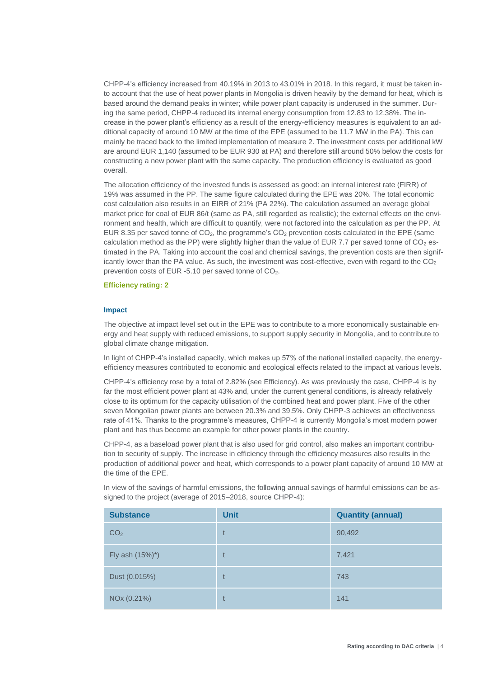CHPP-4's efficiency increased from 40.19% in 2013 to 43.01% in 2018. In this regard, it must be taken into account that the use of heat power plants in Mongolia is driven heavily by the demand for heat, which is based around the demand peaks in winter; while power plant capacity is underused in the summer. During the same period, CHPP-4 reduced its internal energy consumption from 12.83 to 12.38%. The increase in the power plant's efficiency as a result of the energy-efficiency measures is equivalent to an additional capacity of around 10 MW at the time of the EPE (assumed to be 11.7 MW in the PA). This can mainly be traced back to the limited implementation of measure 2. The investment costs per additional kW are around EUR 1,140 (assumed to be EUR 930 at PA) and therefore still around 50% below the costs for constructing a new power plant with the same capacity. The production efficiency is evaluated as good overall.

The allocation efficiency of the invested funds is assessed as good: an internal interest rate (FIRR) of 19% was assumed in the PP. The same figure calculated during the EPE was 20%. The total economic cost calculation also results in an EIRR of 21% (PA 22%). The calculation assumed an average global market price for coal of EUR 86/t (same as PA, still regarded as realistic); the external effects on the environment and health, which are difficult to quantify, were not factored into the calculation as per the PP. At EUR 8.35 per saved tonne of  $CO<sub>2</sub>$ , the programme's  $CO<sub>2</sub>$  prevention costs calculated in the EPE (same calculation method as the PP) were slightly higher than the value of EUR 7.7 per saved tonne of  $CO<sub>2</sub>$  estimated in the PA. Taking into account the coal and chemical savings, the prevention costs are then significantly lower than the PA value. As such, the investment was cost-effective, even with regard to the  $CO<sub>2</sub>$ prevention costs of EUR  $-5.10$  per saved tonne of  $CO<sub>2</sub>$ .

#### **Efficiency rating: 2**

#### **Impact**

The objective at impact level set out in the EPE was to contribute to a more economically sustainable energy and heat supply with reduced emissions, to support supply security in Mongolia, and to contribute to global climate change mitigation.

In light of CHPP-4's installed capacity, which makes up 57% of the national installed capacity, the energyefficiency measures contributed to economic and ecological effects related to the impact at various levels.

CHPP-4's efficiency rose by a total of 2.82% (see Efficiency). As was previously the case, CHPP-4 is by far the most efficient power plant at 43% and, under the current general conditions, is already relatively close to its optimum for the capacity utilisation of the combined heat and power plant. Five of the other seven Mongolian power plants are between 20.3% and 39.5%. Only CHPP-3 achieves an effectiveness rate of 41%. Thanks to the programme's measures, CHPP-4 is currently Mongolia's most modern power plant and has thus become an example for other power plants in the country.

CHPP-4, as a baseload power plant that is also used for grid control, also makes an important contribution to security of supply. The increase in efficiency through the efficiency measures also results in the production of additional power and heat, which corresponds to a power plant capacity of around 10 MW at the time of the EPE.

| <b>Substance</b> | <b>Unit</b> | <b>Quantity (annual)</b> |
|------------------|-------------|--------------------------|
| CO <sub>2</sub>  | t           | 90,492                   |
| Fly ash (15%)*)  | t           | 7,421                    |
| Dust (0.015%)    | t           | 743                      |
| NOx (0.21%)      | t           | 141                      |

In view of the savings of harmful emissions, the following annual savings of harmful emissions can be assigned to the project (average of 2015–2018, source CHPP-4):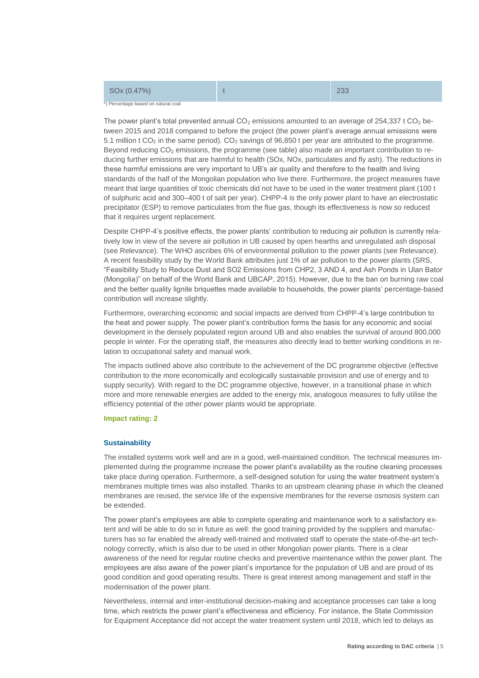| SOx (0.47%)                         |  |
|-------------------------------------|--|
| *) Percentage based on natural coal |  |

The power plant's total prevented annual  $CO<sub>2</sub>$  emissions amounted to an average of 254,337 t  $CO<sub>2</sub>$  between 2015 and 2018 compared to before the project (the power plant's average annual emissions were 5.1 million t  $CO<sub>2</sub>$  in the same period).  $CO<sub>2</sub>$  savings of 96,850 t per year are attributed to the programme. Beyond reducing  $CO<sub>2</sub>$  emissions, the programme (see table) also made an important contribution to reducing further emissions that are harmful to health (SOx, NOx, particulates and fly ash). The reductions in these harmful emissions are very important to UB's air quality and therefore to the health and living standards of the half of the Mongolian population who live there. Furthermore, the project measures have meant that large quantities of toxic chemicals did not have to be used in the water treatment plant (100 t of sulphuric acid and 300–400 t of salt per year). CHPP-4 is the only power plant to have an electrostatic precipitator (ESP) to remove particulates from the flue gas, though its effectiveness is now so reduced that it requires urgent replacement.

Despite CHPP-4's positive effects, the power plants' contribution to reducing air pollution is currently relatively low in view of the severe air pollution in UB caused by open hearths and unregulated ash disposal (see Relevance). The WHO ascribes 6% of environmental pollution to the power plants (see Relevance). A recent feasibility study by the World Bank attributes just 1% of air pollution to the power plants (SRS, "Feasibility Study to Reduce Dust and SO2 Emissions from CHP2, 3 AND 4, and Ash Ponds in Ulan Bator (Mongolia)" on behalf of the World Bank and UBCAP, 2015). However, due to the ban on burning raw coal and the better quality lignite briquettes made available to households, the power plants' percentage-based contribution will increase slightly.

Furthermore, overarching economic and social impacts are derived from CHPP-4's large contribution to the heat and power supply. The power plant's contribution forms the basis for any economic and social development in the densely populated region around UB and also enables the survival of around 800,000 people in winter. For the operating staff, the measures also directly lead to better working conditions in relation to occupational safety and manual work.

The impacts outlined above also contribute to the achievement of the DC programme objective (effective contribution to the more economically and ecologically sustainable provision and use of energy and to supply security). With regard to the DC programme objective, however, in a transitional phase in which more and more renewable energies are added to the energy mix, analogous measures to fully utilise the efficiency potential of the other power plants would be appropriate.

#### **Impact rating: 2**

#### **Sustainability**

The installed systems work well and are in a good, well-maintained condition. The technical measures implemented during the programme increase the power plant's availability as the routine cleaning processes take place during operation. Furthermore, a self-designed solution for using the water treatment system's membranes multiple times was also installed. Thanks to an upstream cleaning phase in which the cleaned membranes are reused, the service life of the expensive membranes for the reverse osmosis system can be extended.

The power plant's employees are able to complete operating and maintenance work to a satisfactory extent and will be able to do so in future as well: the good training provided by the suppliers and manufacturers has so far enabled the already well-trained and motivated staff to operate the state-of-the-art technology correctly, which is also due to be used in other Mongolian power plants. There is a clear awareness of the need for regular routine checks and preventive maintenance within the power plant. The employees are also aware of the power plant's importance for the population of UB and are proud of its good condition and good operating results. There is great interest among management and staff in the modernisation of the power plant.

Nevertheless, internal and inter-institutional decision-making and acceptance processes can take a long time, which restricts the power plant's effectiveness and efficiency. For instance, the State Commission for Equipment Acceptance did not accept the water treatment system until 2018, which led to delays as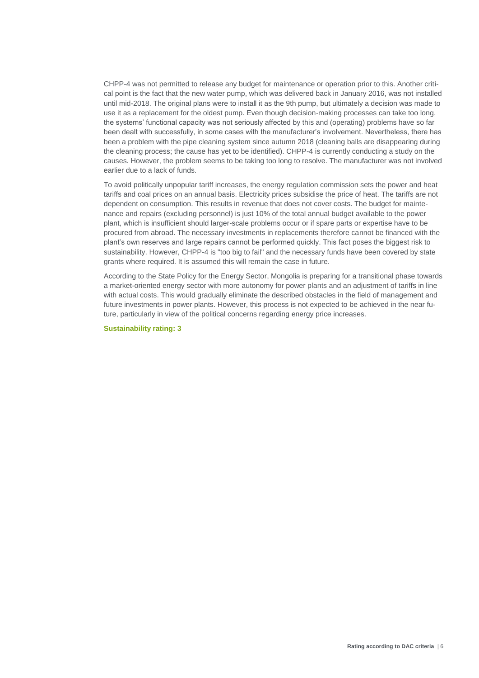CHPP-4 was not permitted to release any budget for maintenance or operation prior to this. Another critical point is the fact that the new water pump, which was delivered back in January 2016, was not installed until mid-2018. The original plans were to install it as the 9th pump, but ultimately a decision was made to use it as a replacement for the oldest pump. Even though decision-making processes can take too long, the systems' functional capacity was not seriously affected by this and (operating) problems have so far been dealt with successfully, in some cases with the manufacturer's involvement. Nevertheless, there has been a problem with the pipe cleaning system since autumn 2018 (cleaning balls are disappearing during the cleaning process; the cause has yet to be identified). CHPP-4 is currently conducting a study on the causes. However, the problem seems to be taking too long to resolve. The manufacturer was not involved earlier due to a lack of funds.

To avoid politically unpopular tariff increases, the energy regulation commission sets the power and heat tariffs and coal prices on an annual basis. Electricity prices subsidise the price of heat. The tariffs are not dependent on consumption. This results in revenue that does not cover costs. The budget for maintenance and repairs (excluding personnel) is just 10% of the total annual budget available to the power plant, which is insufficient should larger-scale problems occur or if spare parts or expertise have to be procured from abroad. The necessary investments in replacements therefore cannot be financed with the plant's own reserves and large repairs cannot be performed quickly. This fact poses the biggest risk to sustainability. However, CHPP-4 is "too big to fail" and the necessary funds have been covered by state grants where required. It is assumed this will remain the case in future.

According to the State Policy for the Energy Sector, Mongolia is preparing for a transitional phase towards a market-oriented energy sector with more autonomy for power plants and an adjustment of tariffs in line with actual costs. This would gradually eliminate the described obstacles in the field of management and future investments in power plants. However, this process is not expected to be achieved in the near future, particularly in view of the political concerns regarding energy price increases.

**Sustainability rating: 3**